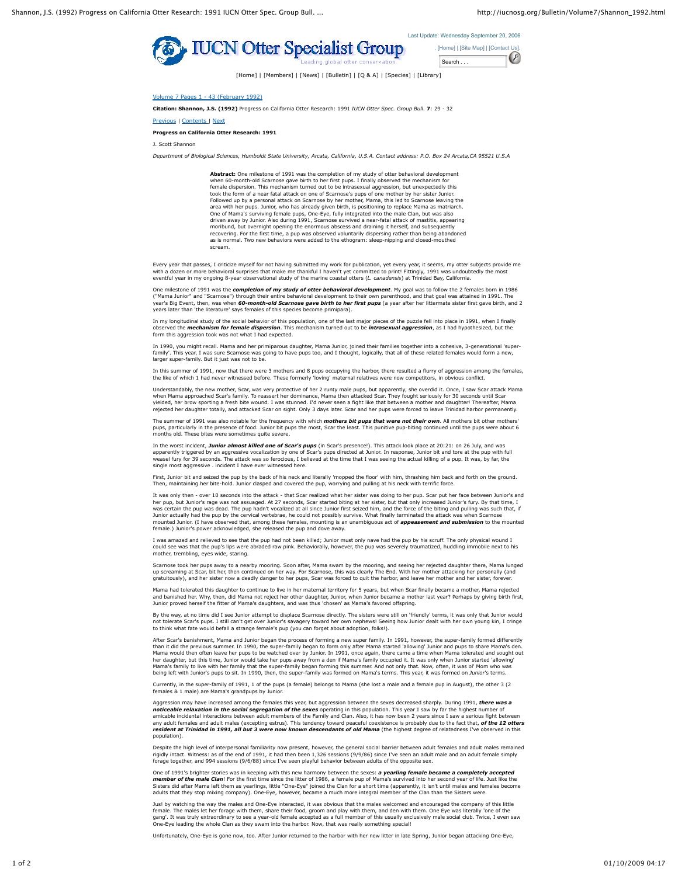



[Home] | [Members] | [News] | [Bulletin] | [Q & A] | [Species] | [Library]

Volume 7 Pages 1 - 43 (February 1992)

**Citation: Shannon, J.S. (1992)** Progress on California Otter Research: 1991 *IUCN Otter Spec. Group Bull*. **7**: 29 - 32

Previous | Contents | Next

## **Progress on California Otter Research: 1991**

J. Scott Shannon

*Department of Biological Sciences, Humboldt State University, Arcata, California, U.S.A. Contact address: P.O. Box 24 Arcata,CA 95521 U.S.A*

**Abstract:** One milestone of 1991 was the completion of my study of otter behavioral development when 60-month-old Scarnose gave birth to her first pups. I finally observed the mechanism for female dispersion. This mechanism turned out to be intrasexual aggression, but unexpectedly this took the form of a near fatal attack on one of Scarnose's pups of one mother by her sister Junior. Followed up by a personal attack on Scarnose by her mother, Mama, this led to Scarnose leaving the<br>area with her pups. Junior, who has already given birth, is positioning to replace Mama as matriarch.<br>One of Mama's survivi driven away by Junior. Also during 1991, Scarnose survived a near-fatal attack of mastitis, appearing moribund, but overnight opening the enormous abscess and draining it herself, and subsequently<br>recovering. For the first time, a pup was observed voluntarily dispersing rather than being abandoned<br>as is normal. Two new beh scream.

Every year that passes, I criticize myself for not having submitted my work for publication, yet every year, it seems, my otter subjects provide me<br>with a dozen or more behavioral surprises that make me thankful I haven't eventful year in my ongoing 8-year observational study of the marine coastal otters (*L. canadensis*) at Trinidad Bay, California.

One milestone of 1991 was the *completion of my study of otter behavioral development*. My goal was to follow the 2 females born in 1986 ("Mama Junior" and "Scarnose") through their entire behavioral development to their own parenthood, and that goal was attained in 1991. The<br>year's Big Event, then, was when **60-month-old Scarnose gave birth to her first pu** years later than 'the literature' says females of this species become primipara).

In my longitudinal study of the social behavior of this population, one of the last major pieces of the puzzle fell into place in 1991, when I finally observed the *mechanism for female dispersion*. This mechanism turned out to be *intrasexual aggression*, as I had hypothesized, but the form this aggression took was not what I had expected.

In 1990, you might recall. Mama and her primiparous daughter, Mama Junior, joined their families together into a cohesive, 3-generational 'super-<br>family'. This year, I was sure Scarnose was going to have pups too, and I th

In this summer of 1991, now that there were 3 mothers and 8 pups occupying the harbor, there resulted a flurry of aggression among the females, the like of which 1 had never witnessed before. These formerly 'loving' maternal relatives were now competitors, in obvious conflict.

Understandably, the new mother, Scar, was very protective of her 2 runty male pups, but apparently, she overdid it. Once, I saw Scar attack Mama when Mama approached Scar's family. To reassert her dominance, Mama then attacked Scar. They fought seriously for 30 seconds until Scar<br>yielded, her brow sporting a fresh bite wound. I was stunned. I'd never seen a fight l rejected her daughter totally, and attacked Scar on sight. Only 3 days later. Scar and her pups were forced to leave Trinidad harbor permanently.

The summer of 1991 was also notable for the frequency with which *mothers bit pups that were not their own*. All mothers bit other mothers' pups, particularly in the presence of food. Junior bit pups the most, Scar the least. This punitive pup-biting continued until the pups were about 6 nths old. These bites were sometimes quite seve

In the worst incident**, Junior almost killed one of Scar's pups** (in Scar's presence!). This attack look place at 20:21: on 26 July, and was<br>apparently triggered by an aggressive vocalization by one of Scar's pups directed single most aggressive . incident I have ever witnessed here.

First, Junior bit and seized the pup by the back of his neck and literally 'mopped the floor' with him, thrashing him back and forth on the ground. maintaining her bite-hold. Junior clasped and covered the pup, worrying and pulling at his neck with terrific force

It was only then - over 10 seconds into the attack - that Scar realized what her sister was doing to her pup. Scar put her face between Junior's and her pup, but Junior's rage was not assuaged. At 27 seconds, Scar started biting at her sister, but that only increased Junior's fury. By that time, I was certain the pup was dead. The pup hadn't vocalized at all since Junior first seized him, and the force of the biting and pulling was such that, if Junior actually had the pup by the cervical vertebrae, he could not possibly survive. What finally terminated the attack was when Scarnose<br>mounted Junior. (I have observed that, among these females, mounting is an unambigu

I was amazed and relieved to see that the pup had not been killed; Junior must only nave had the pup by his scruff. The only physical wound I could see was that the pup's lips were abraded raw pink. Behaviorally, however, the pup was severely traumatized, huddling immobile next to his mother, trembling, eyes wide, staring.

Scarnose took her pups away to a nearby mooring. Soon after, Mama swam by the mooring, and seeing her rejected daughter there, Mama lunged<br>up screaming at Scar, bit her, then continued on her way. For Scarnose, this was cl gratuitously), and her sister now a deadly danger to her pups, Scar was forced to quit the harbor, and leave her mother and her sister, forever.

Mama had tolerated this daughter to continue to live in her maternal territory for 5 years, but when Scar finally became a mother, Mama rejected and banished her. Why, then, did Mama not reject her other daughter, Junior, when Junior became a mother last year? Perhaps by giving birth first, Junior proved herself the fitter of Mama's daughters, and was thus 'chosen' as Mama's favored offspring.

By the way, at no time did I see Junior attempt to displace Scarnose directly. The sisters were still on 'friendly' terms, it was only that Junior would<br>not tolerate Scar's pups. I still can't get over Junior's savagery to to the fact of think what fate would befall can't get over Junior's savagery toward her own nephews! Seeil to think what fate would befall a strange female's pup (you can forget about adoption, folks!).

After Scar's banishment, Mama and Junior began the process of forming a new super family. In 1991, however, the super-family formed differently than it did the previous summer. In 1990, the super-family began to form only after Mama started 'allowing' Junior and pups to share Mama's den.<br>Mama would then often leave her pups to be watched over by Junior. In 1991, o Mama's family to live with her family that the super-family began forming this summer. And not only that. Now, often, it was ol' Mom who was being left with Junior's pups to sit. In 1990, then, the super-family was formed on Mama's terms. This year, it was formed on *Junior*'s terms.

Currently, in the super-family of 1991, 1 of the pups (a female) belongs to Mama (she lost a male and a female pup in August), the other 3 (2 females & 1 male) are Mama's grandpups by Junior.

Aggression may have increased among the females this year, but aggression between the sexes decreased sharply. During 1991, **there was a**<br>**noticeable relaxation in the social segregation of the sexes** operating in this pop any adult females and adult males (excepting estrus). This tendency toward peaceful coexistence is probably due to the fact that, **of the 12 otters**<br>**resident at Trinidad in 1991, all but 3 were now known descendants of ol** population).

Despite the high level of interpersonal familiarity now present, however, the general social barrier between adult females and adult males remained rigidly intact. Witness: as of the end of 1991, it had then been 1,326 sessions (9/9/86) since I've seen an adult male and an adult female simply forage together, and 994 sessions (9/6/88) since I've seen playful behavior between adults of the opposite sex.

One of 1991's brighter stories was in keeping with this new harmony between the sexes: **a yearling female became a completely accepted**<br>**member of the male Clan**! For the first time since the litter of 1986, a female pup o adults that they stop mixing company). One-Eye, however, became a much more integral member of the Clan than the Sisters were.

Jus! by watching the way the males and One-Eye interacted, it was obvious that the males welcomed and encouraged the company of this little female. The males let her forage with them, share their food, groom and play with them, and den with them. One Eye was literally 'one of the<br>gang'. It was truly extraordinary to see a year-old female accepted as a full mem

Unfortunately, One-Eye is gone now, too. After Junior returned to the harbor with her new litter in late Spring, Junior began attacking One-Eye,